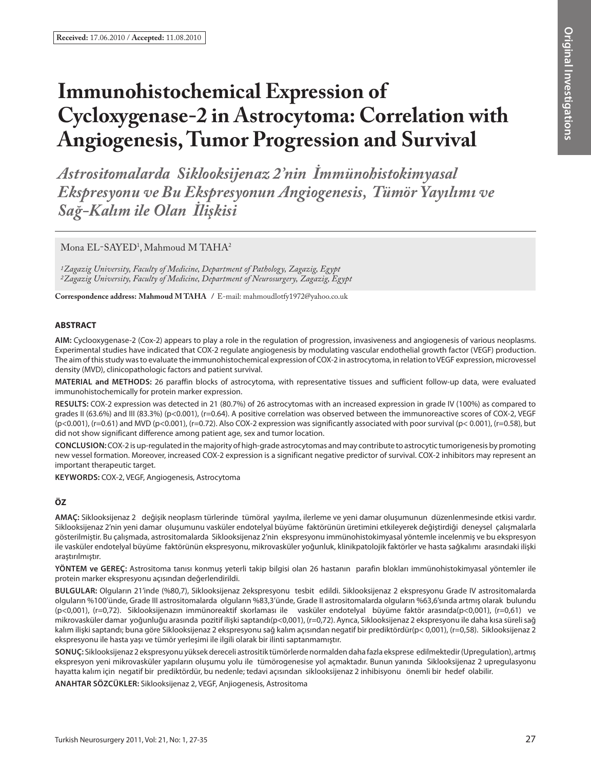# **Immunohistochemical Expression of Cycloxygenase-2 in Astrocytoma: Correlation with Angiogenesis, Tumor Progression and Survival**

*Astrositomalarda Siklooksijenaz 2'nin İmmünohistokimyasal Ekspresyonu ve Bu Ekspresyonun Angiogenesis, Tümör Yayılımı ve Sağ-Kalım ile Olan İlişkisi*

Mona  $\rm EL$ -SAYED<sup>1</sup>, Mahmoud M TAHA<sup>2</sup>

*1Zagazig University, Faculty of Medicine, Department of Pathology, Zagazig, Egypt 2Zagazig University, Faculty of Medicine, Department of Neurosurgery, Zagazig, Egypt*

**Correspondence address: Mahmoud M Taha /** E-mail: mahmoudlotfy1972@yahoo.co.uk

# **ABSTRACT**

**AIm:** Cyclooxygenase-2 (Cox-2) appears to play a role in the regulation of progression, invasiveness and angiogenesis of various neoplasms. Experimental studies have indicated that COX-2 regulate angiogenesis by modulating vascular endothelial growth factor (VEGF) production. The aim of this study was to evaluate the immunohistochemical expression of COX-2 in astrocytoma, in relation to VEGF expression, microvessel density (MVD), clinicopathologic factors and patient survival.

**MaterIal and Methods:** 26 paraffin blocks of astrocytoma, with representative tissues and sufficient follow-up data, were evaluated immunohistochemically for protein marker expression.

**Results:** COX-2 expression was detected in 21 (80.7%) of 26 astrocytomas with an increased expression in grade IV (100%) as compared to grades II (63.6%) and III (83.3%) (p<0.001), (r=0.64). A positive correlation was observed between the immunoreactive scores of COX-2, VEGF  $(p<0.001)$ , (r=0.61) and MVD (p<0.001), (r=0.72). Also COX-2 expression was significantly associated with poor survival (p< 0.001), (r=0.58), but did not show significant difference among patient age, sex and tumor location.

**ConclusIon:** COX-2 is up-regulated in the majority of high-grade astrocytomas and may contribute to astrocytic tumorigenesis by promoting new vessel formation. Moreover, increased COX-2 expression is a significant negative predictor of survival. COX-2 inhibitors may represent an important therapeutic target.

**Keywords:** COX-2, VEGF, Angiogenesis, Astrocytoma

# **ÖZ**

**AMAÇ:** Siklooksijenaz 2 değişik neoplasm türlerinde tümöral yayılma, ilerleme ve yeni damar oluşumunun düzenlenmesinde etkisi vardır. Siklooksijenaz 2'nin yeni damar oluşumunu vasküler endotelyal büyüme faktörünün üretimini etkileyerek değiştirdiği deneysel çalışmalarla gösterilmiştir. Bu çalışmada, astrositomalarda Siklooksijenaz 2'nin ekspresyonu immünohistokimyasal yöntemle incelenmiş ve bu ekspresyon ile vasküler endotelyal büyüme faktörünün ekspresyonu, mikrovasküler yoğunluk, klinikpatolojik faktörler ve hasta sağkalımı arasındaki ilişki araştırılmıştır.

**YÖNTEM ve GEREÇ:** Astrositoma tanısı konmuş yeterli takip bilgisi olan 26 hastanın parafin blokları immünohistokimyasal yöntemler ile protein marker ekspresyonu açısından değerlendirildi.

**BULGULAR:** Olguların 21'inde (%80,7), Siklooksijenaz 2ekspresyonu tesbit edildi. Siklooksijenaz 2 ekspresyonu Grade IV astrositomalarda olguların %100'ünde, Grade III astrositomalarda olguların %83,3'ünde, Grade II astrositomalarda olguların %63,6'sında artmış olarak bulundu (p<0,001), (r=0,72). Siklooksijenazın immünoreaktif skorlaması ile vasküler endotelyal büyüme faktör arasında(p<0,001), (r=0,61) ve mikrovasküler damar yoğunluğu arasında pozitif ilişki saptandı(p<0,001), (r=0,72). Ayrıca, Siklooksijenaz 2 ekspresyonu ile daha kısa süreli sağ kalım ilişki saptandı; buna göre Siklooksijenaz 2 ekspresyonu sağ kalım açısından negatif bir prediktördür(p< 0,001), (r=0,58). Siklooksijenaz 2 ekspresyonu ile hasta yaşı ve tümör yerleşimi ile ilgili olarak bir ilinti saptanmamıştır.

**SONUÇ:** Siklooksijenaz 2 ekspresyonu yüksek dereceli astrositik tümörlerde normalden daha fazla eksprese edilmektedir (Upregulation), artmış ekspresyon yeni mikrovasküler yapıların oluşumu yolu ile tümörogenesise yol açmaktadır. Bunun yanında Siklooksijenaz 2 upregulasyonu hayatta kalım için negatif bir prediktördür, bu nedenle; tedavi açısından siklooksijenaz 2 inhibisyonu önemli bir hedef olabilir.

**ANAHTAR SÖZCÜKLER:** Siklooksijenaz 2, VEGF, Anjiogenesis, Astrositoma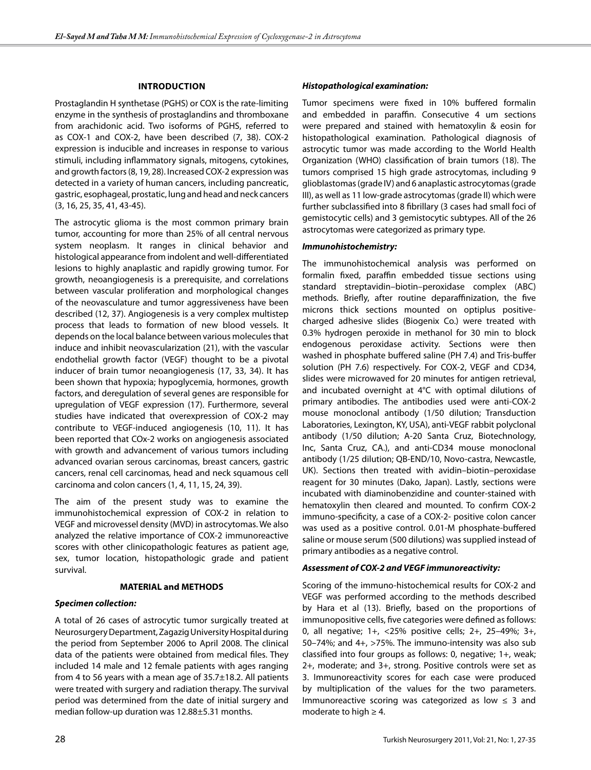## **Introduction**

Prostaglandin H synthetase (PGHS) or COX is the rate-limiting enzyme in the synthesis of prostaglandins and thromboxane from arachidonic acid. Two isoforms of PGHS, referred to as COX-1 and COX-2, have been described (7, 38). COX-2 expression is inducible and increases in response to various stimuli, including inflammatory signals, mitogens, cytokines, and growth factors (8, 19, 28). Increased COX-2 expression was detected in a variety of human cancers, including pancreatic, gastric, esophageal, prostatic, lung and head and neck cancers (3, 16, 25, 35, 41, 43-45).

The astrocytic glioma is the most common primary brain tumor, accounting for more than 25% of all central nervous system neoplasm. It ranges in clinical behavior and histological appearance from indolent and well-differentiated lesions to highly anaplastic and rapidly growing tumor. For growth, neoangiogenesis is a prerequisite, and correlations between vascular proliferation and morphological changes of the neovasculature and tumor aggressiveness have been described (12, 37). Angiogenesis is a very complex multistep process that leads to formation of new blood vessels. It depends on the local balance between various molecules that induce and inhibit neovascularization (21), with the vascular endothelial growth factor (VEGF) thought to be a pivotal inducer of brain tumor neoangiogenesis (17, 33, 34). It has been shown that hypoxia; hypoglycemia, hormones, growth factors, and deregulation of several genes are responsible for upregulation of VEGF expression (17). Furthermore, several studies have indicated that overexpression of COX-2 may contribute to VEGF-induced angiogenesis (10, 11). It has been reported that COx-2 works on angiogenesis associated with growth and advancement of various tumors including advanced ovarian serous carcinomas, breast cancers, gastric cancers, renal cell carcinomas, head and neck squamous cell carcinoma and colon cancers (1, 4, 11, 15, 24, 39).

The aim of the present study was to examine the immunohistochemical expression of COX-2 in relation to VEGF and microvessel density (MVD) in astrocytomas. We also analyzed the relative importance of COX-2 immunoreactive scores with other clinicopathologic features as patient age, sex, tumor location, histopathologic grade and patient survival.

## **MATERIAL and METHODS**

## *Specimen collection:*

A total of 26 cases of astrocytic tumor surgically treated at Neurosurgery Department, Zagazig University Hospital during the period from September 2006 to April 2008. The clinical data of the patients were obtained from medical files. They included 14 male and 12 female patients with ages ranging from 4 to 56 years with a mean age of 35.7±18.2. All patients were treated with surgery and radiation therapy. The survival period was determined from the date of initial surgery and median follow-up duration was 12.88±5.31 months.

## *Histopathological examination:*

Tumor specimens were fixed in 10% buffered formalin and embedded in paraffin. Consecutive 4 um sections were prepared and stained with hematoxylin & eosin for histopathological examination. Pathological diagnosis of astrocytic tumor was made according to the World Health Organization (WHO) classification of brain tumors (18). The tumors comprised 15 high grade astrocytomas, including 9 glioblastomas (grade IV) and 6 anaplastic astrocytomas (grade III), as well as 11 low-grade astrocytomas (grade II) which were further subclassified into 8 fibrillary (3 cases had small foci of gemistocytic cells) and 3 gemistocytic subtypes. All of the 26 astrocytomas were categorized as primary type.

## *Immunohistochemistry:*

The immunohistochemical analysis was performed on formalin fixed, paraffin embedded tissue sections using standard streptavidin–biotin–peroxidase complex (ABC) methods. Briefly, after routine deparaffinization, the five microns thick sections mounted on optiplus positivecharged adhesive slides (Biogenix Co.) were treated with 0.3% hydrogen peroxide in methanol for 30 min to block endogenous peroxidase activity. Sections were then washed in phosphate buffered saline (PH 7.4) and Tris-buffer solution (PH 7.6) respectively. For COX-2, VEGF and CD34, slides were microwaved for 20 minutes for antigen retrieval, and incubated overnight at 4°C with optimal dilutions of primary antibodies. The antibodies used were anti-COX-2 mouse monoclonal antibody (1/50 dilution; Transduction Laboratories, Lexington, KY, USA), anti-VEGF rabbit polyclonal antibody (1/50 dilution; A-20 Santa Cruz, Biotechnology, Inc, Santa Cruz, CA.), and anti-CD34 mouse monoclonal antibody (1/25 dilution; QB-END/10, Novo-castra, Newcastle, UK). Sections then treated with avidin–biotin–peroxidase reagent for 30 minutes (Dako, Japan). Lastly, sections were incubated with diaminobenzidine and counter-stained with hematoxylin then cleared and mounted. To confirm COX-2 immuno-specificity, a case of a COX-2- positive colon cancer was used as a positive control. 0.01-M phosphate-buffered saline or mouse serum (500 dilutions) was supplied instead of primary antibodies as a negative control.

## *Assessment of COX-2 and VEGF immunoreactivity:*

Scoring of the immuno-histochemical results for COX-2 and VEGF was performed according to the methods described by Hara et al (13). Briefly, based on the proportions of immunopositive cells, five categories were defined as follows: 0, all negative; 1+, <25% positive cells; 2+, 25–49%; 3+, 50–74%; and 4+, >75%. The immuno-intensity was also sub classified into four groups as follows: 0, negative; 1+, weak; 2+, moderate; and 3+, strong. Positive controls were set as 3. Immunoreactivity scores for each case were produced by multiplication of the values for the two parameters. Immunoreactive scoring was categorized as low  $\leq$  3 and moderate to high  $\geq 4$ .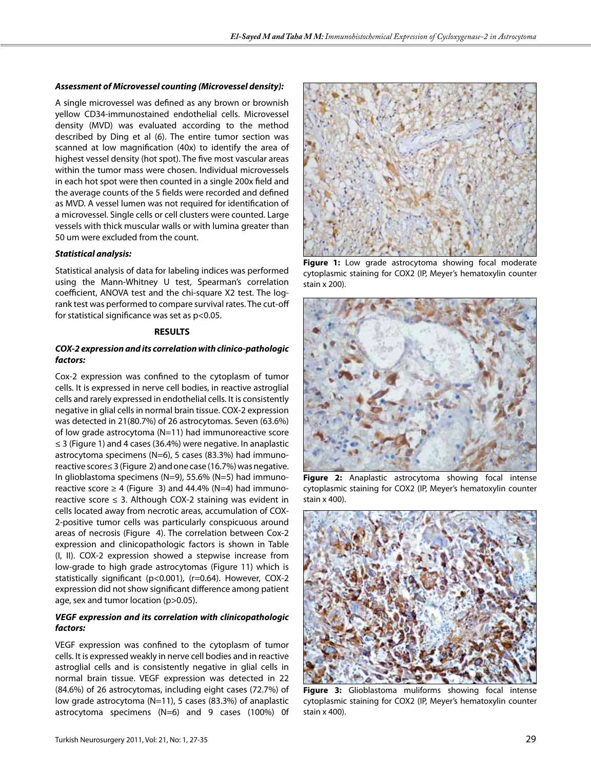#### *Assessment of Microvessel counting (Microvessel density):*

A single microvessel was defined as any brown or brownish yellow CD34-immunostained endothelial cells. Microvessel density (MVD) was evaluated according to the method described by Ding et al (6). The entire tumor section was scanned at low magnification (40x) to identify the area of highest vessel density (hot spot). The five most vascular areas within the tumor mass were chosen. Individual microvessels in each hot spot were then counted in a single 200x field and the average counts of the 5 fields were recorded and defined as MVD. A vessel lumen was not required for identification of a microvessel. Single cells or cell clusters were counted. Large vessels with thick muscular walls or with lumina greater than 50 um were excluded from the count.

## *Statistical analysis:*

Statistical analysis of data for labeling indices was performed using the Mann-Whitney U test, Spearman's correlation coefficient, ANOVA test and the chi-square X2 test. The logrank test was performed to compare survival rates. The cut-off for statistical significance was set as p<0.05.

#### **RESULTS**

## *COX-2 expression and its correlation with clinico-pathologic factors:*

Cox-2 expression was confined to the cytoplasm of tumor cells. It is expressed in nerve cell bodies, in reactive astroglial cells and rarely expressed in endothelial cells. It is consistently negative in glial cells in normal brain tissue. COX-2 expression was detected in 21(80.7%) of 26 astrocytomas. Seven (63.6%) of low grade astrocytoma (N=11) had immunoreactive score ≤ 3 (Figure 1) and 4 cases (36.4%) were negative. In anaplastic astrocytoma specimens (N=6), 5 cases (83.3%) had immunoreactive score≤ 3 (Figure 2) and one case (16.7%) was negative. In glioblastoma specimens (N=9), 55.6% (N=5) had immunoreactive score  $\geq 4$  (Figure 3) and 44.4% (N=4) had immunoreactive score  $\leq$  3. Although COX-2 staining was evident in cells located away from necrotic areas, accumulation of COX-2-positive tumor cells was particularly conspicuous around areas of necrosis (Figure 4). The correlation between Cox-2 expression and clinicopathologic factors is shown in Table (I, II). COX-2 expression showed a stepwise increase from low-grade to high grade astrocytomas (Figure 11) which is statistically significant (p<0.001), (r=0.64). However, COX-2 expression did not show significant difference among patient age, sex and tumor location (p>0.05).

# *VEGF expression and its correlation with clinicopathologic factors:*

VEGF expression was confined to the cytoplasm of tumor cells. It is expressed weakly in nerve cell bodies and in reactive astroglial cells and is consistently negative in glial cells in normal brain tissue. VEGF expression was detected in 22 (84.6%) of 26 astrocytomas, including eight cases (72.7%) of low grade astrocytoma  $(N=11)$ , 5 cases (83.3%) of anaplastic astrocytoma specimens (N=6) and 9 cases (100%) 0f



**Figure 1:** Low grade astrocytoma showing focal moderate cytoplasmic staining for COX2 (IP, Meyer's hematoxylin counter stain x 200).



**Figure 2:** Anaplastic astrocytoma showing focal intense cytoplasmic staining for COX2 (IP, Meyer's hematoxylin counter stain x 400).



**Figure 3:** Glioblastoma muliforms showing focal intense cytoplasmic staining for COX2 (IP, Meyer's hematoxylin counter stain x 400).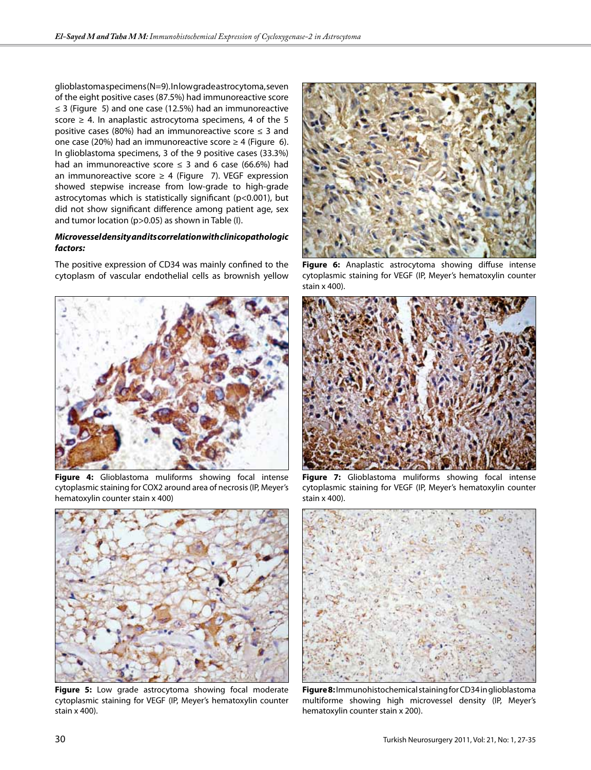glioblastoma specimens (N=9). In low grade astrocytoma, seven of the eight positive cases (87.5%) had immunoreactive score ≤ 3 (Figure 5) and one case (12.5%) had an immunoreactive score  $\geq$  4. In anaplastic astrocytoma specimens, 4 of the 5 positive cases (80%) had an immunoreactive score  $\leq$  3 and one case (20%) had an immunoreactive score  $\geq 4$  (Figure 6). In glioblastoma specimens, 3 of the 9 positive cases (33.3%) had an immunoreactive score  $\leq$  3 and 6 case (66.6%) had an immunoreactive score  $\geq 4$  (Figure 7). VEGF expression showed stepwise increase from low-grade to high-grade astrocytomas which is statistically significant (p<0.001), but did not show significant difference among patient age, sex and tumor location (p>0.05) as shown in Table (I).

## *Microvessel density and its correlation with clinicopathologic factors:*

The positive expression of CD34 was mainly confined to the cytoplasm of vascular endothelial cells as brownish yellow



**Figure 4:** Glioblastoma muliforms showing focal intense cytoplasmic staining for COX2 around area of necrosis (IP, Meyer's hematoxylin counter stain x 400)



**Figure 5:** Low grade astrocytoma showing focal moderate cytoplasmic staining for VEGF (IP, Meyer's hematoxylin counter stain x 400).



**Figure 6:** Anaplastic astrocytoma showing diffuse intense cytoplasmic staining for VEGF (IP, Meyer's hematoxylin counter stain x 400).



**Figure 7:** Glioblastoma muliforms showing focal intense cytoplasmic staining for VEGF (IP, Meyer's hematoxylin counter stain x 400).



**Figure 8:** Immunohistochemical staining for CD34 in glioblastoma multiforme showing high microvessel density (IP, Meyer's hematoxylin counter stain x 200).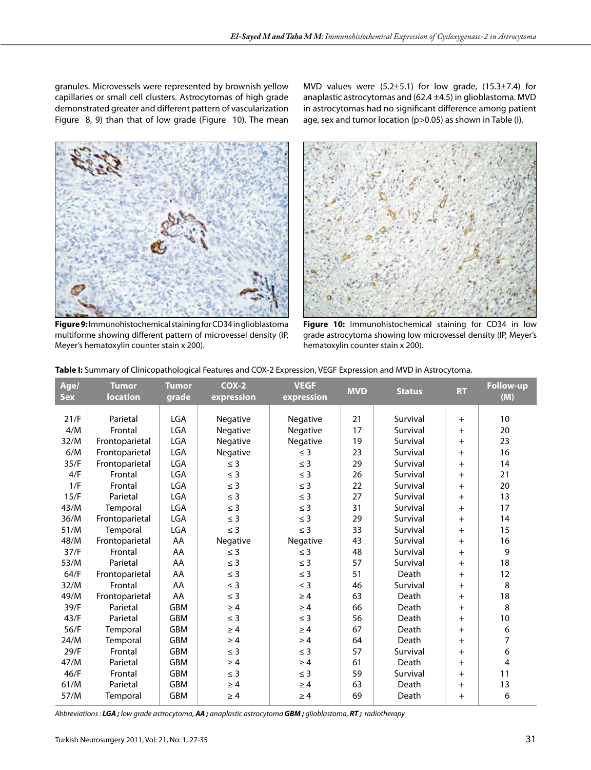granules. Microvessels were represented by brownish yellow capillaries or small cell clusters. Astrocytomas of high grade demonstrated greater and different pattern of vascularization Figure 8, 9) than that of low grade (Figure 10). The mean

**Figure 9:** Immunohistochemical staining for CD34 in glioblastoma multiforme showing different pattern of microvessel density (IP, Meyer's hematoxylin counter stain x 200).

MVD values were  $(5.2 \pm 5.1)$  for low grade,  $(15.3 \pm 7.4)$  for anaplastic astrocytomas and (62.4 ±4.5) in glioblastoma. MVD in astrocytomas had no significant difference among patient age, sex and tumor location (p>0.05) as shown in Table (I).



**Figure 10:** Immunohistochemical staining for CD34 in low grade astrocytoma showing low microvessel density (IP, Meyer's hematoxylin counter stain x 200).

| Age/<br><b>Sex</b> | <b>Tumor</b><br><b>location</b> | <b>Tumor</b><br>grade | $COX-2$<br>expression | <b>VEGF</b><br>expression | <b>MVD</b> | <b>Status</b> | <b>RT</b> | <b>Follow-up</b><br>(M) |
|--------------------|---------------------------------|-----------------------|-----------------------|---------------------------|------------|---------------|-----------|-------------------------|
|                    |                                 |                       |                       |                           |            |               |           |                         |
| 21/F               | Parietal                        | <b>LGA</b>            | Negative              | Negative                  | 21         | Survival      | $+$       | 10                      |
| 4/M                | Frontal                         | <b>LGA</b>            | Negative              | Negative                  | 17         | Survival      | $+$       | 20                      |
| 32/M               | Frontoparietal                  | <b>LGA</b>            | Negative              | Negative                  | 19         | Survival      | $+$       | 23                      |
| 6/M                | Frontoparietal                  | <b>LGA</b>            | Negative              | $\leq$ 3                  | 23         | Survival      | $+$       | 16                      |
| 35/F               | Frontoparietal                  | <b>LGA</b>            | $\leq$ 3              | $\leq$ 3                  | 29         | Survival      | $+$       | 14                      |
| 4/F                | Frontal                         | <b>LGA</b>            | $\leq$ 3              | $\leq$ 3                  | 26         | Survival      | $+$       | 21                      |
| 1/F                | Frontal                         | <b>LGA</b>            | $\leq$ 3              | $\leq$ 3                  | 22         | Survival      | $+$       | 20                      |
| 15/F               | Parietal                        | <b>LGA</b>            | $\leq$ 3              | $\leq$ 3                  | 27         | Survival      | $+$       | 13                      |
| 43/M               | Temporal                        | <b>LGA</b>            | $\leq$ 3              | $\leq$ 3                  | 31         | Survival      | $+$       | 17                      |
| 36/M               | Frontoparietal                  | <b>LGA</b>            | $\leq$ 3              | $\leq$ 3                  | 29         | Survival      | $+$       | 14                      |
| 51/M               | Temporal                        | LGA                   | $\leq$ 3              | $\leq$ 3                  | 33         | Survival      | $+$       | 15                      |
| 48/M               | Frontoparietal                  | AA                    | Negative              | Negative                  | 43         | Survival      | $+$       | 16                      |
| 37/F               | Frontal                         | AA                    | $\leq$ 3              | $\leq$ 3                  | 48         | Survival      | $+$       | 9                       |
| 53/M               | Parietal                        | AA                    | $\leq$ 3              | $\leq$ 3                  | 57         | Survival      | $+$       | 18                      |
| 64/F               | Frontoparietal                  | AA                    | $\leq$ 3              | $\leq$ 3                  | 51         | Death         | $+$       | 12                      |
| 32/M               | Frontal                         | AA                    | $\leq$ 3              | $\leq$ 3                  | 46         | Survival      | $+$       | 8                       |
| 49/M               | Frontoparietal                  | AA                    | $\leq$ 3              | $\geq 4$                  | 63         | Death         | $+$       | 18                      |
| 39/F               | Parietal                        | <b>GBM</b>            | $\geq 4$              | $\geq 4$                  | 66         | Death         | $+$       | 8                       |
| 43/F               | Parietal                        | <b>GBM</b>            | $\leq$ 3              | $\leq$ 3                  | 56         | Death         | $+$       | 10                      |
| 56/F               | Temporal                        | <b>GBM</b>            | $\geq 4$              | $\geq 4$                  | 67         | Death         | $+$       | 6                       |
| 24/M               | Temporal                        | <b>GBM</b>            | $\geq 4$              | $\geq 4$                  | 64         | Death         | $+$       | $\overline{7}$          |
| 29/F               | Frontal                         | <b>GBM</b>            | $\leq$ 3              | $\leq$ 3                  | 57         | Survival      | $+$       | 6                       |
| 47/M               | Parietal                        | <b>GBM</b>            | $\geq 4$              | $\geq 4$                  | 61         | Death         | $+$       | 4                       |
| 46/F               | Frontal                         | <b>GBM</b>            | $\leq$ 3              | $\leq$ 3                  | 59         | Survival      | $+$       | 11                      |
| 61/M               | Parietal                        | <b>GBM</b>            | $\geq 4$              | $\geq 4$                  | 63         | Death         | $+$       | 13                      |
| 57/M               | Temporal                        | <b>GBM</b>            | $\geq 4$              | $\geq 4$                  | 69         | Death         | $+$       | 6                       |

**Table I:** Summary of Clinicopathological Features and COX-2 Expression, VEGF Expression and MVD in Astrocytoma.

*Abbreviations : LGA ; low grade astrocytoma, AA ; anaplastic astrocytoma GBM ; glioblastoma, RT ; radiotherapy*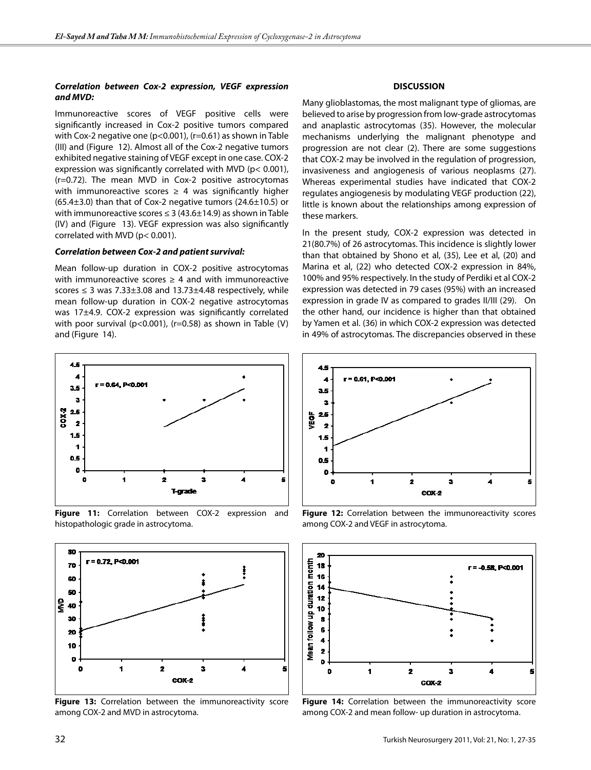#### *Correlation between Cox-2 expression, VEGF expression and MVD:*

Immunoreactive scores of VEGF positive cells were significantly increased in Cox-2 positive tumors compared with Cox-2 negative one (p<0.001), (r=0.61) as shown in Table (III) and (Figure 12). Almost all of the Cox-2 negative tumors exhibited negative staining of VEGF except in one case. COX-2 expression was significantly correlated with MVD (p< 0.001), (r=0.72). The mean MVD in Cox-2 positive astrocytomas with immunoreactive scores  $\geq$  4 was significantly higher  $(65.4\pm3.0)$  than that of Cox-2 negative tumors  $(24.6\pm10.5)$  or with immunoreactive scores  $\leq 3$  (43.6 $\pm$ 14.9) as shown in Table (IV) and (Figure 13). VEGF expression was also significantly correlated with MVD (p< 0.001).

#### *Correlation between Cox-2 and patient survival:*

Mean follow-up duration in COX-2 positive astrocytomas with immunoreactive scores  $\geq$  4 and with immunoreactive scores  $\leq$  3 was 7.33 $\pm$ 3.08 and 13.73 $\pm$ 4.48 respectively, while mean follow-up duration in COX-2 negative astrocytomas was 17±4.9. COX-2 expression was significantly correlated with poor survival ( $p < 0.001$ ), ( $r = 0.58$ ) as shown in Table (V) and (Figure 14).



**Figure 11:** Correlation between COX-2 expression and histopathologic grade in astrocytoma.



Figure 13: Correlation between the immunoreactivity score among COX-2 and MVD in astrocytoma.

## **DISCUSSION**

Many glioblastomas, the most malignant type of gliomas, are believed to arise by progression from low-grade astrocytomas and anaplastic astrocytomas (35). However, the molecular mechanisms underlying the malignant phenotype and progression are not clear (2). There are some suggestions that COX-2 may be involved in the regulation of progression, invasiveness and angiogenesis of various neoplasms (27). Whereas experimental studies have indicated that COX-2 regulates angiogenesis by modulating VEGF production (22), little is known about the relationships among expression of these markers.

In the present study, COX-2 expression was detected in 21(80.7%) of 26 astrocytomas. This incidence is slightly lower than that obtained by Shono et al, (35), Lee et al, (20) and Marina et al, (22) who detected COX-2 expression in 84%, 100% and 95% respectively. In the study of Perdiki et al COX-2 expression was detected in 79 cases (95%) with an increased expression in grade IV as compared to grades II/III (29). On the other hand, our incidence is higher than that obtained by Yamen et al. (36) in which COX-2 expression was detected in 49% of astrocytomas. The discrepancies observed in these



**Figure 12:** Correlation between the immunoreactivity scores among COX-2 and VEGF in astrocytoma.



**Figure 14:** Correlation between the immunoreactivity score among COX-2 and mean follow- up duration in astrocytoma.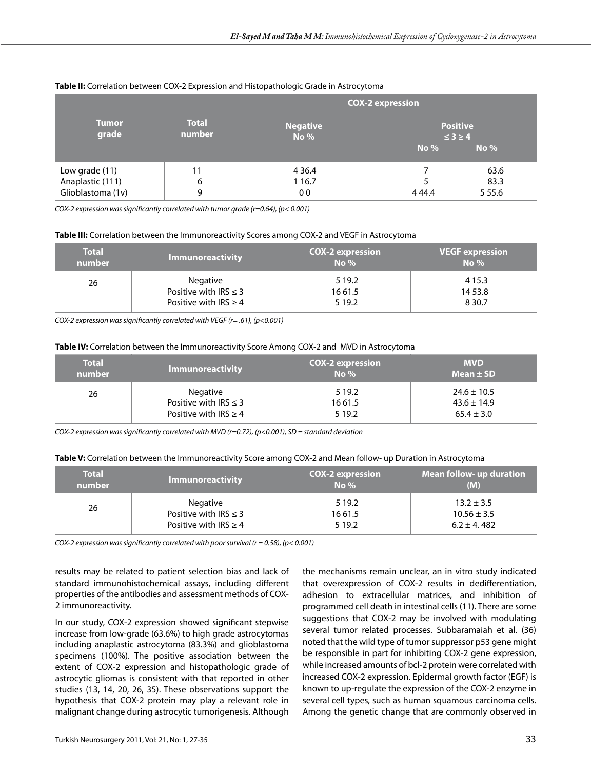|                                                         | <b>COX-2 expression</b> |                                      |                                      |                          |  |
|---------------------------------------------------------|-------------------------|--------------------------------------|--------------------------------------|--------------------------|--|
| <b>Tumor</b><br>grade                                   | <b>Total</b><br>number  | <b>Negative</b><br>No %              | <b>Positive</b><br>$\leq$ 3 $\geq$ 4 |                          |  |
|                                                         |                         |                                      | $No\%$                               | $No\%$                   |  |
| Low grade (11)<br>Anaplastic (111)<br>Glioblastoma (1v) | 11<br>6<br>9            | 4 3 6.4<br>1 1 6.7<br>0 <sub>0</sub> | 5<br>4 4 4 4                         | 63.6<br>83.3<br>5 5 5 .6 |  |

## **Table II:** Correlation between COX-2 Expression and Histopathologic Grade in Astrocytoma

*COX-2 expression was significantly correlated with tumor grade (r=0.64), (p< 0.001)*

#### **Table III:** Correlation between the Immunoreactivity Scores among COX-2 and VEGF in Astrocytoma

| <b>Total</b><br>number | <b>Immunoreactivity</b>    | <b>COX-2 expression</b><br>No $%$ | <b>VEGF</b> expression<br>No $%$ |
|------------------------|----------------------------|-----------------------------------|----------------------------------|
| 26                     | Negative                   | 5 1 9.2                           | 4 1 5 . 3                        |
|                        | Positive with $IRS \leq 3$ | 16 61.5                           | 14 53.8                          |
|                        | Positive with $IRS \geq 4$ | 5 1 9.2                           | 8 3 0.7                          |

*COX-2 expression was significantly correlated with VEGF (r= .61), (p<0.001)*

#### **Table IV:** Correlation between the Immunoreactivity Score Among COX-2 and MVD in Astrocytoma

| <b>Total</b> | <b>Immunoreactivity</b>    | <b>COX-2 expression</b> | <b>MVD</b>      |
|--------------|----------------------------|-------------------------|-----------------|
| number       |                            | No $%$                  | Mean $\pm$ SD   |
| 26           | Negative                   | 5 1 9 .2                | $24.6 \pm 10.5$ |
|              | Positive with $IRS \leq 3$ | 16 61.5                 | $43.6 \pm 14.9$ |
|              | Positive with $IRS \geq 4$ | 5 1 9.2                 | $65.4 \pm 3.0$  |

*COX-2 expression was significantly correlated with MVD (r=0.72), (p<0.001), SD = standard deviation*

| <b>Total</b><br>number | <b>Immunoreactivity</b>    | <b>COX-2 expression</b><br>No $%$ | <b>Mean follow- up duration</b><br>(M) |
|------------------------|----------------------------|-----------------------------------|----------------------------------------|
| 26                     | Negative                   | 5 1 9 .2                          | $13.2 \pm 3.5$                         |
|                        | Positive with $IRS \leq 3$ | 16 61.5                           | $10.56 \pm 3.5$                        |
|                        | Positive with $IRS \geq 4$ | 5 1 9 . 2                         | $6.2 \pm 4.482$                        |

*COX-2 expression was significantly correlated with poor survival (r = 0.58), (p< 0.001)*

results may be related to patient selection bias and lack of standard immunohistochemical assays, including different properties of the antibodies and assessment methods of COX-2 immunoreactivity.

In our study, COX-2 expression showed significant stepwise increase from low-grade (63.6%) to high grade astrocytomas including anaplastic astrocytoma (83.3%) and glioblastoma specimens (100%). The positive association between the extent of COX-2 expression and histopathologic grade of astrocytic gliomas is consistent with that reported in other studies (13, 14, 20, 26, 35). These observations support the hypothesis that COX-2 protein may play a relevant role in malignant change during astrocytic tumorigenesis. Although

the mechanisms remain unclear, an in vitro study indicated that overexpression of COX-2 results in dedifferentiation, adhesion to extracellular matrices, and inhibition of programmed cell death in intestinal cells (11). There are some suggestions that COX-2 may be involved with modulating several tumor related processes. Subbaramaiah et al. (36) noted that the wild type of tumor suppressor p53 gene might be responsible in part for inhibiting COX-2 gene expression, while increased amounts of bcl-2 protein were correlated with increased COX-2 expression. Epidermal growth factor (EGF) is known to up-regulate the expression of the COX-2 enzyme in several cell types, such as human squamous carcinoma cells. Among the genetic change that are commonly observed in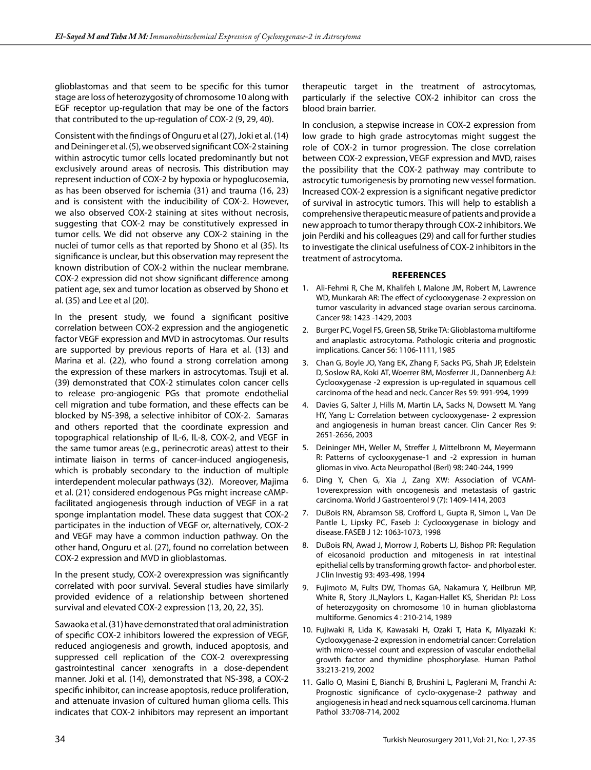glioblastomas and that seem to be specific for this tumor stage are loss of heterozygosity of chromosome 10 along with EGF receptor up-regulation that may be one of the factors that contributed to the up-regulation of COX-2 (9, 29, 40).

Consistent with the findings of Onguru et al (27), Joki et al. (14) and Deininger et al. (5), we observed significant COX-2 staining within astrocytic tumor cells located predominantly but not exclusively around areas of necrosis. This distribution may represent induction of COX-2 by hypoxia or hypoglucosemia, as has been observed for ischemia (31) and trauma (16, 23) and is consistent with the inducibility of COX-2. However, we also observed COX-2 staining at sites without necrosis, suggesting that COX-2 may be constitutively expressed in tumor cells. We did not observe any COX-2 staining in the nuclei of tumor cells as that reported by Shono et al (35). Its significance is unclear, but this observation may represent the known distribution of COX-2 within the nuclear membrane. COX-2 expression did not show significant difference among patient age, sex and tumor location as observed by Shono et al. (35) and Lee et al (20).

In the present study, we found a significant positive correlation between COX-2 expression and the angiogenetic factor VEGF expression and MVD in astrocytomas. Our results are supported by previous reports of Hara et al. (13) and Marina et al. (22), who found a strong correlation among the expression of these markers in astrocytomas. Tsuji et al. (39) demonstrated that COX-2 stimulates colon cancer cells to release pro-angiogenic PGs that promote endothelial cell migration and tube formation, and these effects can be blocked by NS-398, a selective inhibitor of COX-2. Samaras and others reported that the coordinate expression and topographical relationship of IL-6, IL-8, COX-2, and VEGF in the same tumor areas (e.g., perinecrotic areas) attest to their intimate liaison in terms of cancer-induced angiogenesis, which is probably secondary to the induction of multiple interdependent molecular pathways (32). Moreover, Majima et al. (21) considered endogenous PGs might increase cAMPfacilitated angiogenesis through induction of VEGF in a rat sponge implantation model. These data suggest that COX-2 participates in the induction of VEGF or, alternatively, COX-2 and VEGF may have a common induction pathway. On the other hand, Onguru et al. (27), found no correlation between COX-2 expression and MVD in glioblastomas.

In the present study, COX-2 overexpression was significantly correlated with poor survival. Several studies have similarly provided evidence of a relationship between shortened survival and elevated COX-2 expression (13, 20, 22, 35).

Sawaoka et al. (31) have demonstrated that oral administration of specific COX-2 inhibitors lowered the expression of VEGF, reduced angiogenesis and growth, induced apoptosis, and suppressed cell replication of the COX-2 overexpressing gastrointestinal cancer xenografts in a dose-dependent manner. Joki et al. (14), demonstrated that NS-398, a COX-2 specific inhibitor, can increase apoptosis, reduce proliferation, and attenuate invasion of cultured human glioma cells. This indicates that COX-2 inhibitors may represent an important

therapeutic target in the treatment of astrocytomas, particularly if the selective COX-2 inhibitor can cross the blood brain barrier.

In conclusion, a stepwise increase in COX-2 expression from low grade to high grade astrocytomas might suggest the role of COX-2 in tumor progression. The close correlation between COX-2 expression, VEGF expression and MVD, raises the possibility that the COX-2 pathway may contribute to astrocytic tumorigenesis by promoting new vessel formation. Increased COX-2 expression is a significant negative predictor of survival in astrocytic tumors. This will help to establish a comprehensive therapeutic measure of patients and provide a new approach to tumor therapy through COX-2 inhibitors. We join Perdiki and his colleagues (29) and call for further studies to investigate the clinical usefulness of COX-2 inhibitors in the treatment of astrocytoma.

#### **References**

- 1. Ali-Fehmi R, Che M, Khalifeh I, Malone JM, Robert M, Lawrence WD, Munkarah AR: The effect of cyclooxygenase-2 expression on tumor vascularity in advanced stage ovarian serous carcinoma. Cancer 98: 1423 -1429, 2003
- 2. Burger PC, Vogel FS, Green SB, Strike TA: Glioblastoma multiforme and anaplastic astrocytoma. Pathologic criteria and prognostic implications. Cancer 56: 1106-1111, 1985
- 3. Chan G, Boyle JO, Yang EK, Zhang F, Sacks PG, Shah JP, Edelstein D, Soslow RA, Koki AT, Woerrer BM, Mosferrer JL, Dannenberg AJ: Cyclooxygenase -2 expression is up-regulated in squamous cell carcinoma of the head and neck. Cancer Res 59: 991-994, 1999
- 4. Davies G, Salter J, Hills M, Martin LA, Sacks N, Dowsett M. Yang HY, Yang L: Correlation between cyclooxygenase- 2 expression and angiogenesis in human breast cancer. Clin Cancer Res 9: 2651-2656, 2003
- 5. Deininger MH, Weller M, Streffer J, Mittelbronn M, Meyermann R: Patterns of cyclooxygenase-1 and -2 expression in human gliomas in vivo. Acta Neuropathol (Berl) 98: 240-244, 1999
- 6. Ding Y, Chen G, Xia J, Zang XW: Association of VCAM-1overexpression with oncogenesis and metastasis of gastric carcinoma. World J Gastroenterol 9 (7): 1409-1414, 2003
- 7. DuBois RN, Abramson SB, Crofford L, Gupta R, Simon L, Van De Pantle L, Lipsky PC, Faseb J: Cyclooxygenase in biology and disease. FASEB J 12: 1063-1073, 1998
- 8. DuBois RN, Awad J, Morrow J, Roberts LJ, Bishop PR: Regulation of eicosanoid production and mitogenesis in rat intestinal epithelial cells by transforming growth factor- and phorbol ester. J Clin Investig 93: 493-498, 1994
- 9. Fujimoto M, Fults DW, Thomas GA, Nakamura Y, Heilbrun MP, White R, Story JL,Naylors L, Kagan-Hallet KS, Sheridan PJ: Loss of heterozygosity on chromosome 10 in human glioblastoma multiforme. Genomics 4 : 210-214, 1989
- 10. Fujiwaki R, Lida K, Kawasaki H, Ozaki T, Hata K, Miyazaki K: Cyclooxygenase-2 expression in endometrial cancer: Correlation with micro-vessel count and expression of vascular endothelial growth factor and thymidine phosphorylase. Human Pathol 33:213-219, 2002
- 11. Gallo O, Masini E, Bianchi B, Brushini L, Paglerani M, Franchi A: Prognostic significance of cyclo-oxygenase-2 pathway and angiogenesis in head and neck squamous cell carcinoma. Human Pathol 33:708-714, 2002